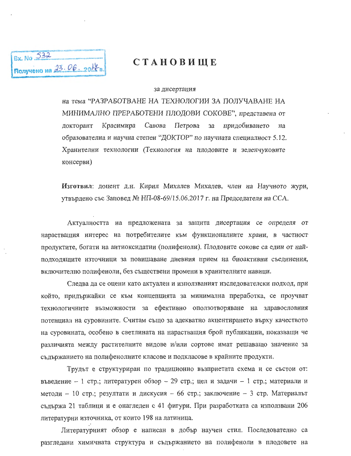

## СТАНОВИЩЕ

## за дисертация

на тема "РАЗРАБОТВАНЕ НА ТЕХНОЛОГИИ ЗА ПОЛУЧАВАНЕ НА МИНИМАЛНО ПРЕРАБОТЕНИ ПЛОДОВИ СОКОВЕ", представена от докторант Красимира Савова Петрова придобиването за на образователна и научна степен "ДОКТОР" по научната специалност 5.12. Хранителни технологии (Технология на плодовите и зеленчуковите консерви)

Изготвил: доцент д.н. Кирил Михалев Михалев, член на Научното жури, утвърдено със Заповед № НП-08-69/15.06.2017 г. на Председателя на ССА.

Актуалността на предложената за защита дисертация се определя от нарастващия интерес на потребителите към функционалните храни, в частност продуктите, богати на антиоксидатни (полифеноли). Плодовите сокове са един от найподходящите източници за повишаване дневния прием на биоактивни съединения, включително полифеноли, без съществени промени в хранителните навици.

Следва да се оцени като актуален и използваният изследователски подход, при който, придържайки се към концепцията за минимална преработка, се проучват технологичните възможности за ефективно оползотворяване на здравословния потенциал на суровините. Считам също за адекватно акцентирането върху качеството на суровината, особено в светлината на нарастващия брой публикации, показващи че различията между растителните видове и/или сортове имат решаващо значение за съдържанието на полифенолните класове и подкласове в крайните продукти.

Трудът е структуриран по традиционно възприетата схема и се състои от: въведение – 1 стр.; литературен обзор – 29 стр.; цел и задачи – 1 стр.; материали и методи – 10 стр.; резултати и дискусия – 66 стр.; заключение – 3 стр. Материалът съдържа 21 таблици и е онагледен с 41 фигури. При разработката са използвани 206 литературни източника, от които 198 на латиница.

Литературният обзор е написан в добър научен стил. Последователно са разгледани химичната структура и съдържанието на полифеноли в плодовете на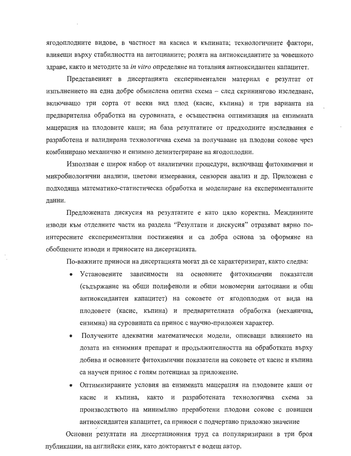ягодоплодните видове, в частност на касиса и къпината; технологичните фактори, влияещи върху стабилността на антоцианите; ролята на антиоксидантите за човешкото здраве, както и методите за in vitro определяне на тоталния антиоксидантен капацитет.

Представеният в дисертацията експериментален материал е резултат от изпълнението на една добре обмислена опитна схема - след скринингово изследване, включващо три сорта от всеки вид плод (касис, къпина) и три варианта на предварителна обработка на суровината, е осъществена оптимизация на ензимната мацерация на плодовите каши; на база резултатите от предходните изследвания е разработена и валидирана технологична схема за получаване на плодови сокове чрез комбинирано механично и ензимно дезинтегриране на ягодоплодни.

Използван е широк набор от аналитични процедури, включващ фитохимични и микробиологични анализи, цветови измервания, сензорен анализ и др. Приложена е подходяща математико-статистическа обработка и моделиране на експерименталните данни.

Предложената дискусия на резултатите е като цяло коректна. Междинните изводи към отделните части на раздела "Резултати и дискусия" отразяват вярно поинтересните експериментални постижения и са добра основа за оформяне на обобщените изводи и приносите на дисертацията.

По-важните приноси на дисертацията могат да се характеризират, както следва:

- Установените зависимости на основните фитохимични показатели (съдържание на общи полифеноли и общи мономерни антоциани и общ антиоксидантен капацитет) на соковете от ягодоплодни от вида на плодовете (касис, къпина) и предварителната обработка (механична, ензимна) на суровината са принос с научно-приложен характер.
- Получените адекватни математически модели, описващи влиянието на дозата на ензимния препарат и продължителността на обработката върху добива и основните фитохимични показатели на соковете от касис и къпина са научен принос с голям потенциал за приложение.
- Оптимизираните условия на ензимната мацерация на плодовите каши от касис и къпина, както и разработената технологична схема за производството на минимално преработени плодови сокове с повишен антиоксидантен капацитет, са приноси с подчертано приложно значение

Основни резултати на дисертационния труд са популяризирани в три броя публикации, на английски език, като докторантът е водещ автор.